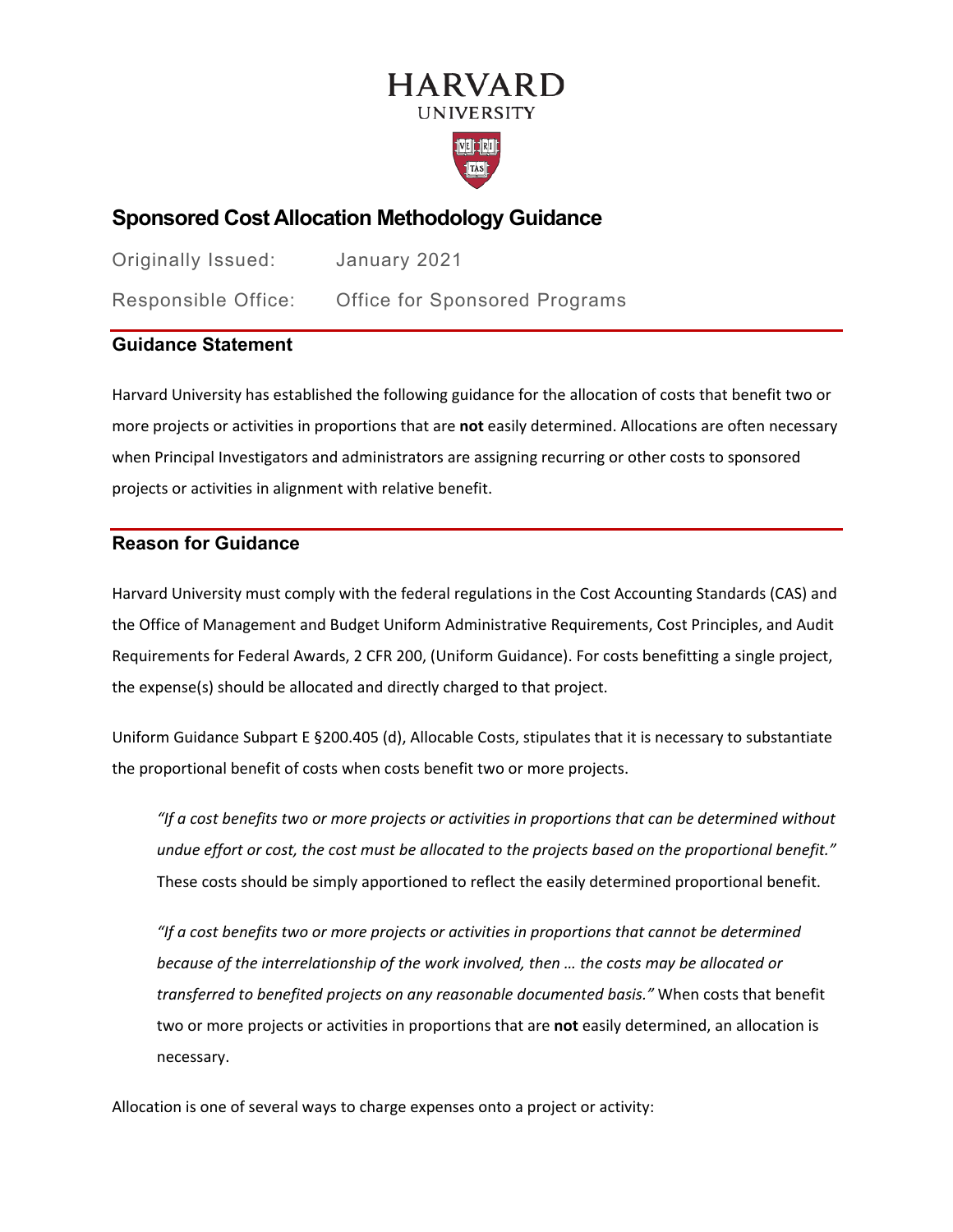# **HARVARD UNIVERSITY**



# **Sponsored Cost Allocation Methodology Guidance**

| Originally Issued:  | January 2021                         |
|---------------------|--------------------------------------|
| Responsible Office: | <b>Office for Sponsored Programs</b> |

# **Guidance Statement**

Harvard University has established the following guidance for the allocation of costs that benefit two or more projects or activities in proportions that are **not** easily determined. Allocations are often necessary when Principal Investigators and administrators are assigning recurring or other costs to sponsored projects or activities in alignment with relative benefit.

# **Reason for Guidance**

Harvard University must comply with the federal regulations in the Cost Accounting Standards (CAS) and the Office of Management and Budget Uniform Administrative Requirements, Cost Principles, and Audit Requirements for Federal Awards, 2 CFR 200, (Uniform Guidance). For costs benefitting a single project, the expense(s) should be allocated and directly charged to that project.

Uniform Guidance Subpart E §200.405 (d), Allocable Costs, stipulates that it is necessary to substantiate the proportional benefit of costs when costs benefit two or more projects.

*"If a cost benefits two or more projects or activities in proportions that can be determined without undue effort or cost, the cost must be allocated to the projects based on the proportional benefit."* These costs should be simply apportioned to reflect the easily determined proportional benefit.

*"If a cost benefits two or more projects or activities in proportions that cannot be determined because of the interrelationship of the work involved, then … the costs may be allocated or transferred to benefited projects on any reasonable documented basis."* When costs that benefit two or more projects or activities in proportions that are **not** easily determined, an allocation is necessary.

Allocation is one of several ways to charge expenses onto a project or activity: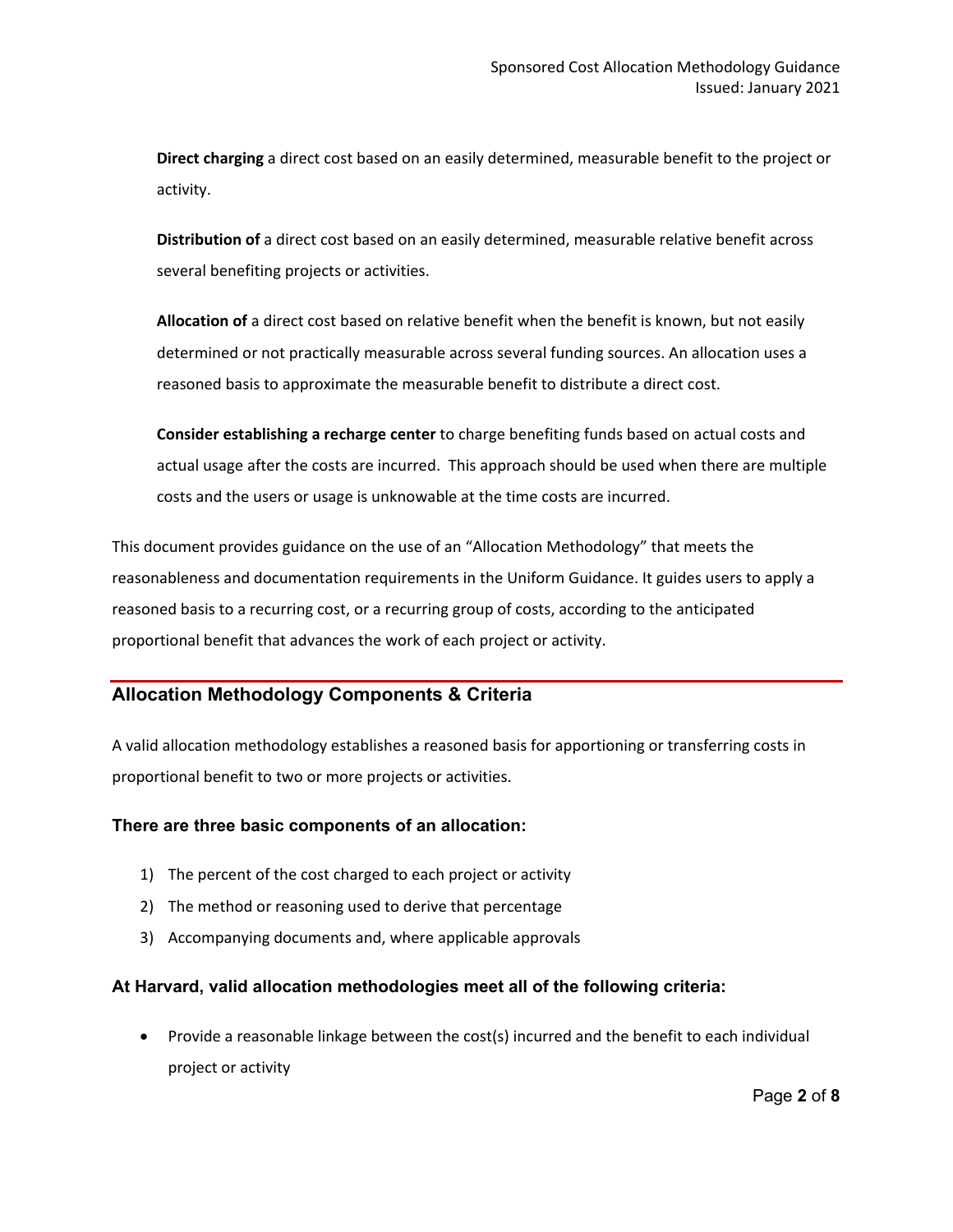**Direct charging** a direct cost based on an easily determined, measurable benefit to the project or activity.

**Distribution of** a direct cost based on an easily determined, measurable relative benefit across several benefiting projects or activities.

**Allocation of** a direct cost based on relative benefit when the benefit is known, but not easily determined or not practically measurable across several funding sources. An allocation uses a reasoned basis to approximate the measurable benefit to distribute a direct cost.

**Consider establishing a recharge center** to charge benefiting funds based on actual costs and actual usage after the costs are incurred. This approach should be used when there are multiple costs and the users or usage is unknowable at the time costs are incurred.

This document provides guidance on the use of an "Allocation Methodology" that meets the reasonableness and documentation requirements in the Uniform Guidance. It guides users to apply a reasoned basis to a recurring cost, or a recurring group of costs, according to the anticipated proportional benefit that advances the work of each project or activity.

## **Allocation Methodology Components & Criteria**

A valid allocation methodology establishes a reasoned basis for apportioning or transferring costs in proportional benefit to two or more projects or activities.

### **There are three basic components of an allocation:**

- 1) The percent of the cost charged to each project or activity
- 2) The method or reasoning used to derive that percentage
- 3) Accompanying documents and, where applicable approvals

## **At Harvard, valid allocation methodologies meet all of the following criteria:**

• Provide a reasonable linkage between the cost(s) incurred and the benefit to each individual project or activity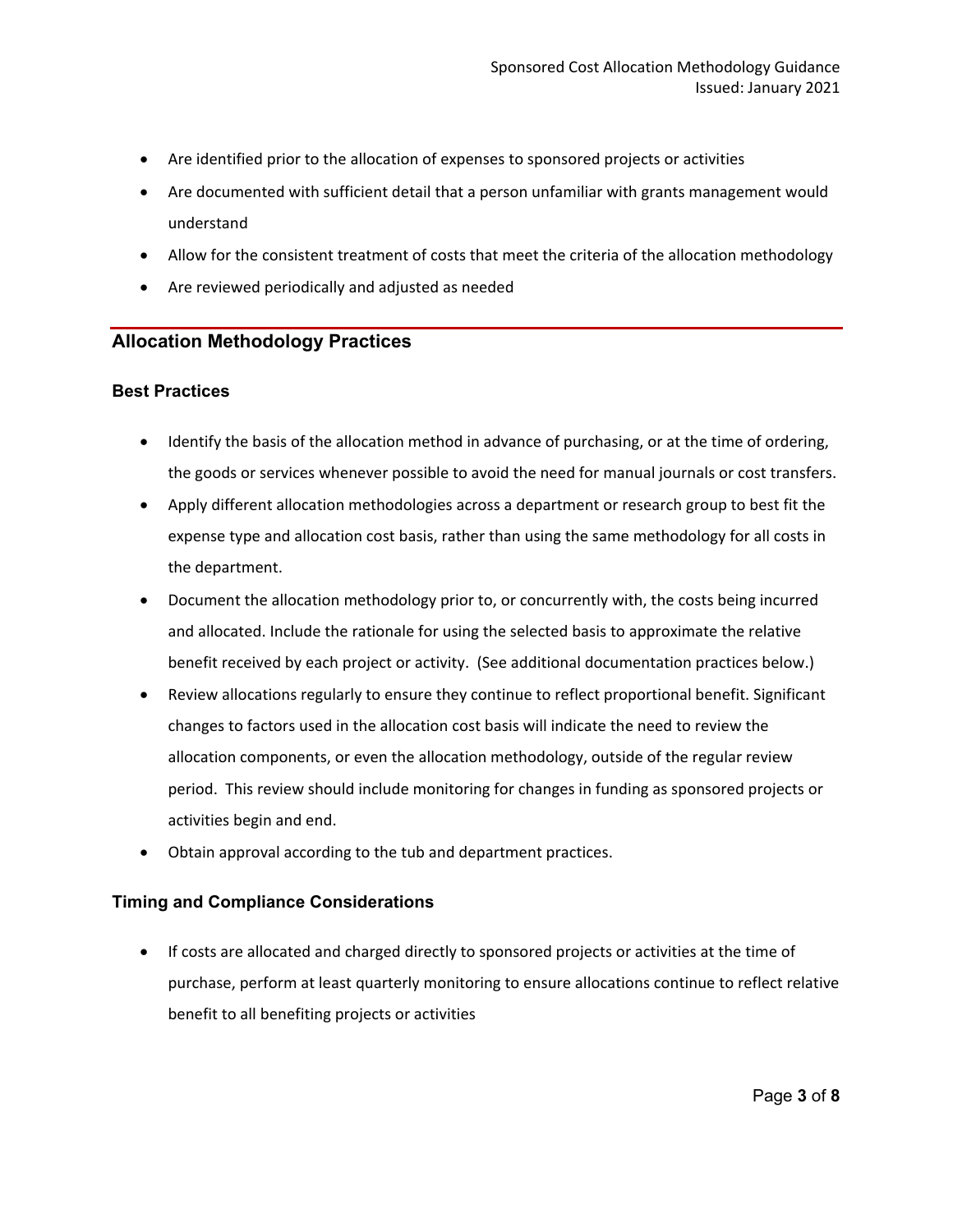- Are identified prior to the allocation of expenses to sponsored projects or activities
- Are documented with sufficient detail that a person unfamiliar with grants management would understand
- Allow for the consistent treatment of costs that meet the criteria of the allocation methodology
- Are reviewed periodically and adjusted as needed

## **Allocation Methodology Practices**

### **Best Practices**

- Identify the basis of the allocation method in advance of purchasing, or at the time of ordering, the goods or services whenever possible to avoid the need for manual journals or cost transfers.
- Apply different allocation methodologies across a department or research group to best fit the expense type and allocation cost basis, rather than using the same methodology for all costs in the department.
- Document the allocation methodology prior to, or concurrently with, the costs being incurred and allocated. Include the rationale for using the selected basis to approximate the relative benefit received by each project or activity. (See additional documentation practices below.)
- Review allocations regularly to ensure they continue to reflect proportional benefit. Significant changes to factors used in the allocation cost basis will indicate the need to review the allocation components, or even the allocation methodology, outside of the regular review period. This review should include monitoring for changes in funding as sponsored projects or activities begin and end.
- Obtain approval according to the tub and department practices.

### **Timing and Compliance Considerations**

• If costs are allocated and charged directly to sponsored projects or activities at the time of purchase, perform at least quarterly monitoring to ensure allocations continue to reflect relative benefit to all benefiting projects or activities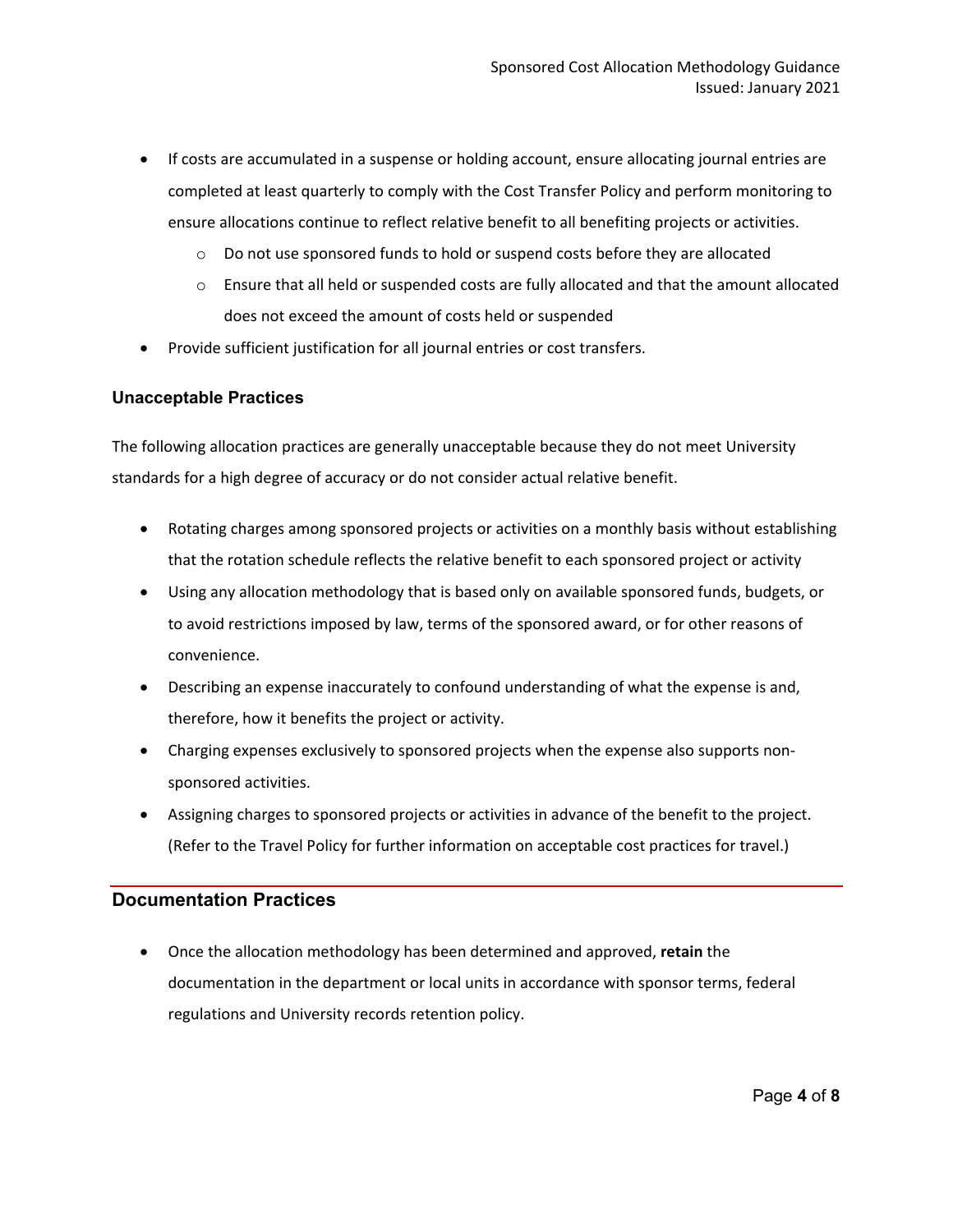- If costs are accumulated in a suspense or holding account, ensure allocating journal entries are completed at least quarterly to comply with the Cost Transfer Policy and perform monitoring to ensure allocations continue to reflect relative benefit to all benefiting projects or activities.
	- o Do not use sponsored funds to hold or suspend costs before they are allocated
	- o Ensure that all held or suspended costs are fully allocated and that the amount allocated does not exceed the amount of costs held or suspended
- Provide sufficient justification for all journal entries or cost transfers.

#### **Unacceptable Practices**

The following allocation practices are generally unacceptable because they do not meet University standards for a high degree of accuracy or do not consider actual relative benefit.

- Rotating charges among sponsored projects or activities on a monthly basis without establishing that the rotation schedule reflects the relative benefit to each sponsored project or activity
- Using any allocation methodology that is based only on available sponsored funds, budgets, or to avoid restrictions imposed by law, terms of the sponsored award, or for other reasons of convenience.
- Describing an expense inaccurately to confound understanding of what the expense is and, therefore, how it benefits the project or activity.
- Charging expenses exclusively to sponsored projects when the expense also supports nonsponsored activities.
- Assigning charges to sponsored projects or activities in advance of the benefit to the project. (Refer to the Travel Policy for further information on acceptable cost practices for travel.)

### **Documentation Practices**

• Once the allocation methodology has been determined and approved, **retain** the documentation in the department or local units in accordance with sponsor terms, federal regulations and University records retention policy.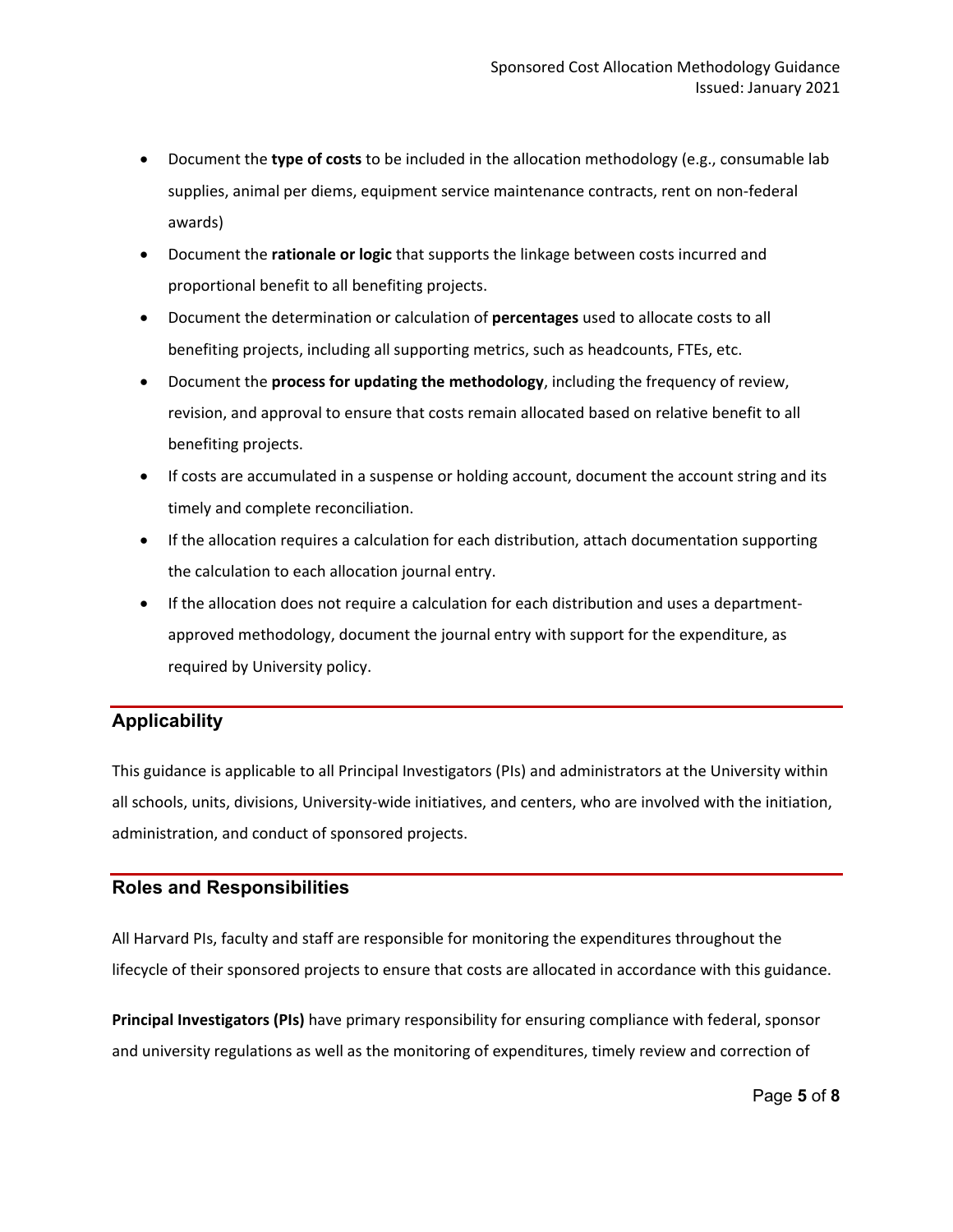- Document the **type of costs** to be included in the allocation methodology (e.g., consumable lab supplies, animal per diems, equipment service maintenance contracts, rent on non-federal awards)
- Document the **rationale or logic** that supports the linkage between costs incurred and proportional benefit to all benefiting projects.
- Document the determination or calculation of **percentages** used to allocate costs to all benefiting projects, including all supporting metrics, such as headcounts, FTEs, etc.
- Document the **process for updating the methodology**, including the frequency of review, revision, and approval to ensure that costs remain allocated based on relative benefit to all benefiting projects.
- If costs are accumulated in a suspense or holding account, document the account string and its timely and complete reconciliation.
- If the allocation requires a calculation for each distribution, attach documentation supporting the calculation to each allocation journal entry.
- If the allocation does not require a calculation for each distribution and uses a departmentapproved methodology, document the journal entry with support for the expenditure, as required by University policy.

# **Applicability**

This guidance is applicable to all Principal Investigators (PIs) and administrators at the University within all schools, units, divisions, University-wide initiatives, and centers, who are involved with the initiation, administration, and conduct of sponsored projects.

## **Roles and Responsibilities**

All Harvard PIs, faculty and staff are responsible for monitoring the expenditures throughout the lifecycle of their sponsored projects to ensure that costs are allocated in accordance with this guidance.

**Principal Investigators (PIs)** have primary responsibility for ensuring compliance with federal, sponsor and university regulations as well as the monitoring of expenditures, timely review and correction of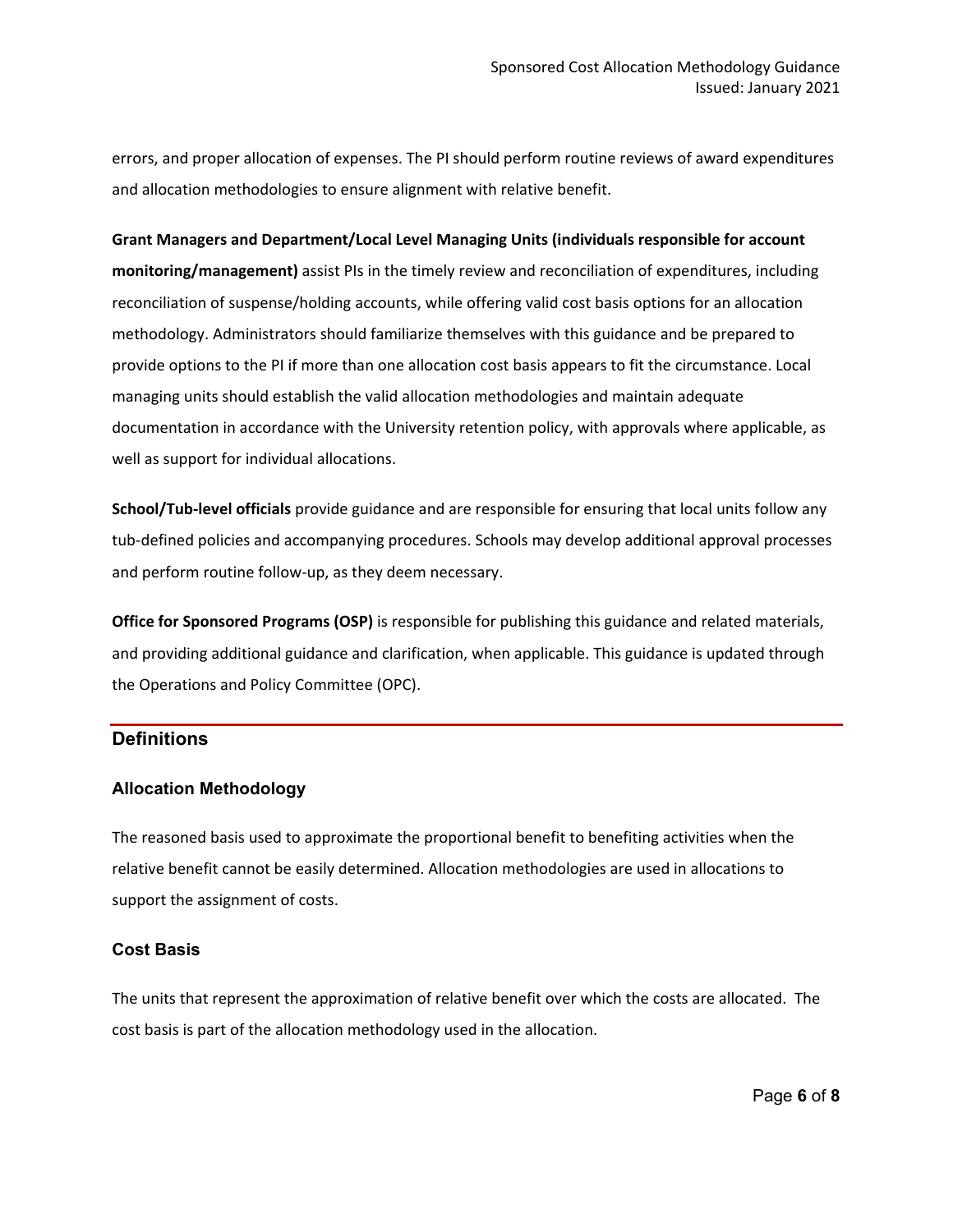errors, and proper allocation of expenses. The PI should perform routine reviews of award expenditures and allocation methodologies to ensure alignment with relative benefit.

#### **Grant Managers and Department/Local Level Managing Units (individuals responsible for account**

**monitoring/management)** assist PIs in the timely review and reconciliation of expenditures, including reconciliation of suspense/holding accounts, while offering valid cost basis options for an allocation methodology. Administrators should familiarize themselves with this guidance and be prepared to provide options to the PI if more than one allocation cost basis appears to fit the circumstance. Local managing units should establish the valid allocation methodologies and maintain adequate documentation in accordance with the University retention policy, with approvals where applicable, as well as support for individual allocations.

**School/Tub-level officials** provide guidance and are responsible for ensuring that local units follow any tub-defined policies and accompanying procedures. Schools may develop additional approval processes and perform routine follow-up, as they deem necessary.

**Office for Sponsored Programs (OSP)** is responsible for publishing this guidance and related materials, and providing additional guidance and clarification, when applicable. This guidance is updated through the Operations and Policy Committee (OPC).

### **Definitions**

### **Allocation Methodology**

The reasoned basis used to approximate the proportional benefit to benefiting activities when the relative benefit cannot be easily determined. Allocation methodologies are used in allocations to support the assignment of costs.

### **Cost Basis**

The units that represent the approximation of relative benefit over which the costs are allocated. The cost basis is part of the allocation methodology used in the allocation.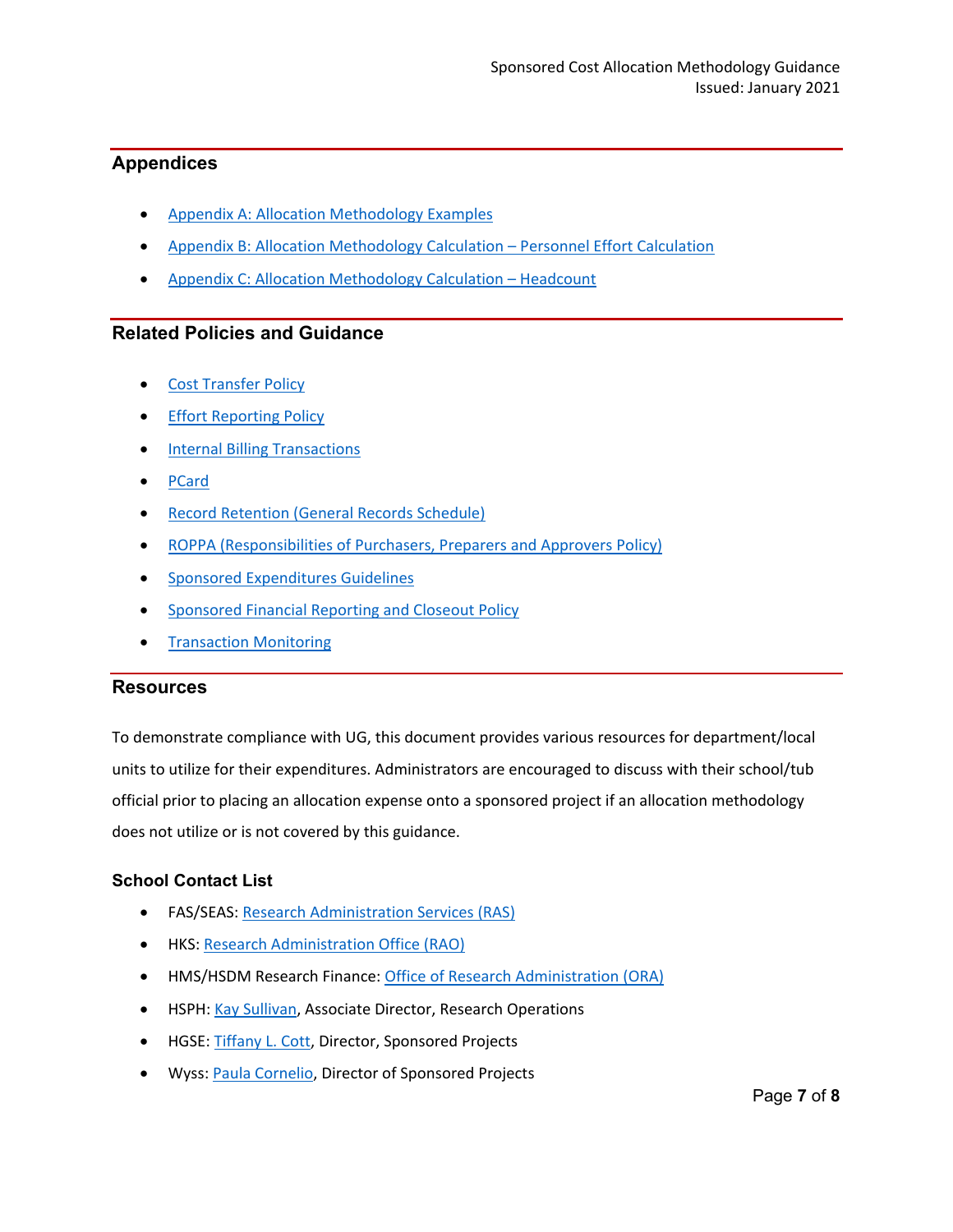# **Appendices**

- [Appendix A: Allocation Methodology Examples](https://osp.finance.harvard.edu/files/cost_allocation_methodology_examples_january_2021.pdf)
- [Appendix B: Allocation Methodology Calculation –](https://osp.finance.harvard.edu/files/allocation_method_personnel_effort_calculation.xlsx) Personnel Effort Calculation
- [Appendix C: Allocation Methodology Calculation –](https://osp.finance.harvard.edu/files/allocation_method_reu_headcount_example.xlsx) Headcount

# **Related Policies and Guidance**

- [Cost Transfer Policy](https://osp.finance.harvard.edu/cost-transfer-policy)
- **[Effort Reporting Policy](https://osp.finance.harvard.edu/effort-reporting-policy)**
- [Internal Billing Transactions](https://policies.fad.harvard.edu/pages/internal-billing-transactions)
- [PCard](https://policies.fad.harvard.edu/pages/purchasing-card)
- **[Record Retention \(General Records Schedule\)](https://grs.harvard.edu/home)**
- [ROPPA \(Responsibilities of Purchasers, Preparers and Approvers Policy\)](https://trainingportal.harvard.edu/Saba/Web_spf/NA1PRD0068/app/me/learningeventdetail/cours000000000003094?regId=regdw000000000028287)
- [Sponsored Expenditures Guidelines](https://osp.finance.harvard.edu/sponsored-expenditures-guidelines)
- [Sponsored Financial Reporting and Closeout Policy](https://osp.finance.harvard.edu/sponsored-financial-reporting-and-closeout-policy)
- [Transaction Monitoring](https://gmas.fss.harvard.edu/transaction-monitoring)

## **Resources**

To demonstrate compliance with UG, this document provides various resources for department/local units to utilize for their expenditures. Administrators are encouraged to discuss with their school/tub official prior to placing an allocation expense onto a sponsored project if an allocation methodology does not utilize or is not covered by this guidance.

## **School Contact List**

- FAS/SEAS: [Research Administration Services \(RAS\)](http://research.fas.harvard.edu/)
- HKS: [Research Administration Office \(RAO\)](https://www.hks.harvard.edu/research-publications/research-central)
- HMS/HSDM Research Finance: [Office of Research Administration \(ORA\)](https://researchadmin.hms.harvard.edu/)
- HSPH: [Kay Sullivan,](mailto:ksulliva@hsph.harvard.edu) Associate Director, Research Operations
- HGSE: [Tiffany L. Cott,](mailto:tiffany_cott@gse.harvard.edu) Director, Sponsored Projects
- Wyss: [Paula Cornelio,](mailto:Paula.Cornelio@wyss.harvard.edu) Director of Sponsored Projects